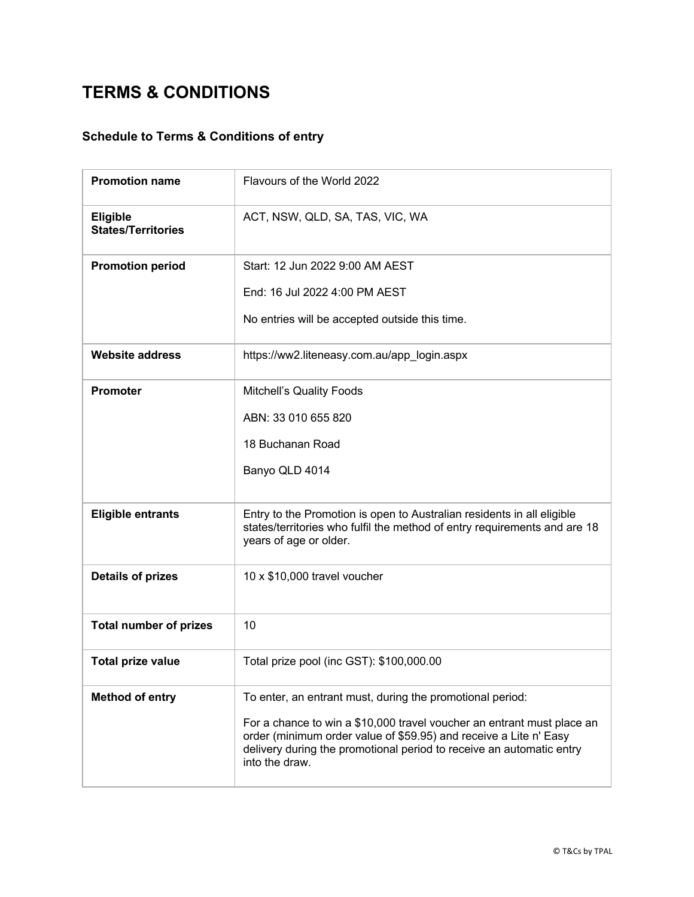## **TERMS & CONDITIONS**

## **Schedule to Terms & Conditions of entry**

| <b>Promotion name</b>                        | Flavours of the World 2022                                                                                                                                                                                                            |
|----------------------------------------------|---------------------------------------------------------------------------------------------------------------------------------------------------------------------------------------------------------------------------------------|
| <b>Eligible</b><br><b>States/Territories</b> | ACT, NSW, QLD, SA, TAS, VIC, WA                                                                                                                                                                                                       |
| <b>Promotion period</b>                      | Start: 12 Jun 2022 9:00 AM AEST                                                                                                                                                                                                       |
|                                              | End: 16 Jul 2022 4:00 PM AEST                                                                                                                                                                                                         |
|                                              | No entries will be accepted outside this time.                                                                                                                                                                                        |
| <b>Website address</b>                       | https://ww2.liteneasy.com.au/app_login.aspx                                                                                                                                                                                           |
| <b>Promoter</b>                              | Mitchell's Quality Foods                                                                                                                                                                                                              |
|                                              | ABN: 33 010 655 820                                                                                                                                                                                                                   |
|                                              | 18 Buchanan Road                                                                                                                                                                                                                      |
|                                              | Banyo QLD 4014                                                                                                                                                                                                                        |
| <b>Eligible entrants</b>                     | Entry to the Promotion is open to Australian residents in all eligible<br>states/territories who fulfil the method of entry requirements and are 18<br>years of age or older.                                                         |
| <b>Details of prizes</b>                     | 10 x \$10,000 travel voucher                                                                                                                                                                                                          |
| <b>Total number of prizes</b>                | 10                                                                                                                                                                                                                                    |
| <b>Total prize value</b>                     | Total prize pool (inc GST): \$100,000.00                                                                                                                                                                                              |
| <b>Method of entry</b>                       | To enter, an entrant must, during the promotional period:                                                                                                                                                                             |
|                                              | For a chance to win a \$10,000 travel voucher an entrant must place an<br>order (minimum order value of \$59.95) and receive a Lite n' Easy<br>delivery during the promotional period to receive an automatic entry<br>into the draw. |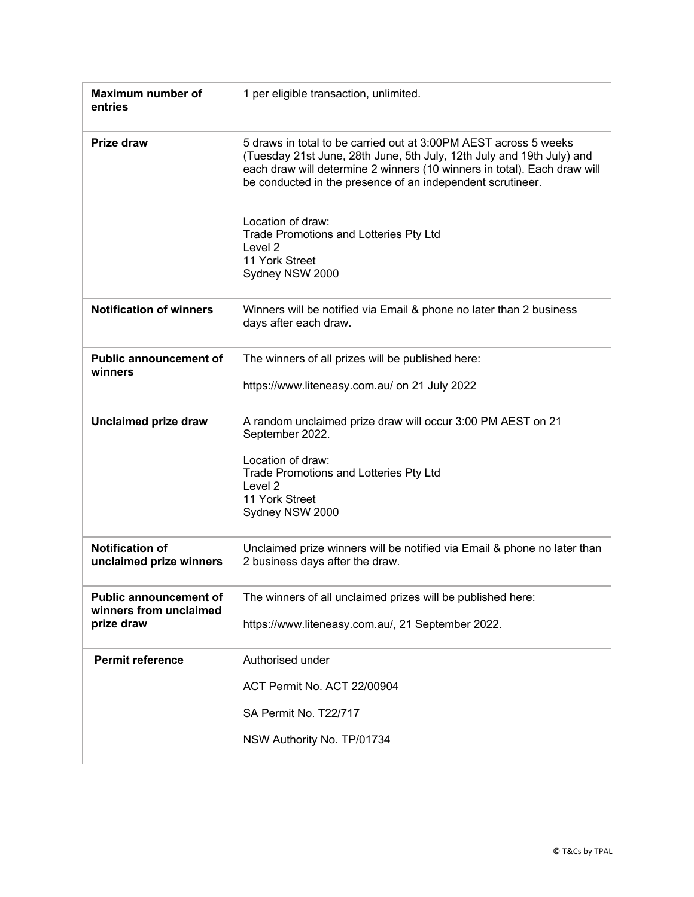| <b>Maximum number of</b><br>entries                                   | 1 per eligible transaction, unlimited.                                                                                                                                                                                                                                                                                                                                                                        |
|-----------------------------------------------------------------------|---------------------------------------------------------------------------------------------------------------------------------------------------------------------------------------------------------------------------------------------------------------------------------------------------------------------------------------------------------------------------------------------------------------|
| <b>Prize draw</b>                                                     | 5 draws in total to be carried out at 3:00PM AEST across 5 weeks<br>(Tuesday 21st June, 28th June, 5th July, 12th July and 19th July) and<br>each draw will determine 2 winners (10 winners in total). Each draw will<br>be conducted in the presence of an independent scrutineer.<br>Location of draw:<br>Trade Promotions and Lotteries Pty Ltd<br>Level <sub>2</sub><br>11 York Street<br>Sydney NSW 2000 |
| <b>Notification of winners</b>                                        | Winners will be notified via Email & phone no later than 2 business<br>days after each draw.                                                                                                                                                                                                                                                                                                                  |
| <b>Public announcement of</b><br>winners                              | The winners of all prizes will be published here:<br>https://www.liteneasy.com.au/ on 21 July 2022                                                                                                                                                                                                                                                                                                            |
| <b>Unclaimed prize draw</b>                                           | A random unclaimed prize draw will occur 3:00 PM AEST on 21<br>September 2022.<br>Location of draw:<br>Trade Promotions and Lotteries Pty Ltd<br>Level 2<br>11 York Street<br>Sydney NSW 2000                                                                                                                                                                                                                 |
| <b>Notification of</b><br>unclaimed prize winners                     | Unclaimed prize winners will be notified via Email & phone no later than<br>2 business days after the draw.                                                                                                                                                                                                                                                                                                   |
| <b>Public announcement of</b><br>winners from unclaimed<br>prize draw | The winners of all unclaimed prizes will be published here:<br>https://www.liteneasy.com.au/, 21 September 2022.                                                                                                                                                                                                                                                                                              |
| <b>Permit reference</b>                                               | Authorised under<br>ACT Permit No. ACT 22/00904<br>SA Permit No. T22/717<br>NSW Authority No. TP/01734                                                                                                                                                                                                                                                                                                        |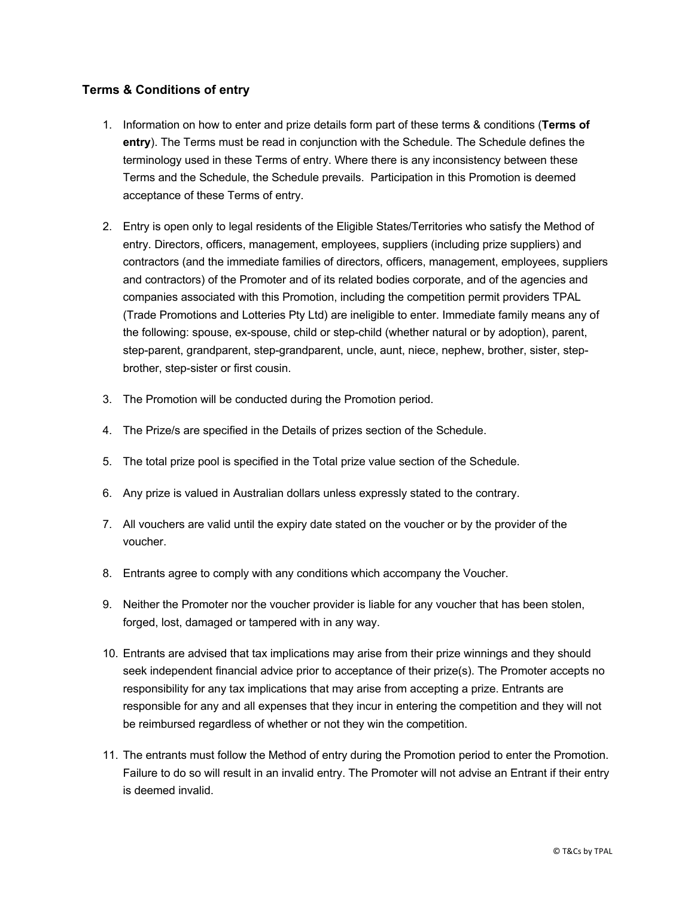## **Terms & Conditions of entry**

- 1. Information on how to enter and prize details form part of these terms & conditions (**Terms of entry**). The Terms must be read in conjunction with the Schedule. The Schedule defines the terminology used in these Terms of entry. Where there is any inconsistency between these Terms and the Schedule, the Schedule prevails. Participation in this Promotion is deemed acceptance of these Terms of entry.
- 2. Entry is open only to legal residents of the Eligible States/Territories who satisfy the Method of entry. Directors, officers, management, employees, suppliers (including prize suppliers) and contractors (and the immediate families of directors, officers, management, employees, suppliers and contractors) of the Promoter and of its related bodies corporate, and of the agencies and companies associated with this Promotion, including the competition permit providers TPAL (Trade Promotions and Lotteries Pty Ltd) are ineligible to enter. Immediate family means any of the following: spouse, ex-spouse, child or step-child (whether natural or by adoption), parent, step-parent, grandparent, step-grandparent, uncle, aunt, niece, nephew, brother, sister, stepbrother, step-sister or first cousin.
- 3. The Promotion will be conducted during the Promotion period.
- 4. The Prize/s are specified in the Details of prizes section of the Schedule.
- 5. The total prize pool is specified in the Total prize value section of the Schedule.
- 6. Any prize is valued in Australian dollars unless expressly stated to the contrary.
- 7. All vouchers are valid until the expiry date stated on the voucher or by the provider of the voucher.
- 8. Entrants agree to comply with any conditions which accompany the Voucher.
- 9. Neither the Promoter nor the voucher provider is liable for any voucher that has been stolen, forged, lost, damaged or tampered with in any way.
- 10. Entrants are advised that tax implications may arise from their prize winnings and they should seek independent financial advice prior to acceptance of their prize(s). The Promoter accepts no responsibility for any tax implications that may arise from accepting a prize. Entrants are responsible for any and all expenses that they incur in entering the competition and they will not be reimbursed regardless of whether or not they win the competition.
- 11. The entrants must follow the Method of entry during the Promotion period to enter the Promotion. Failure to do so will result in an invalid entry. The Promoter will not advise an Entrant if their entry is deemed invalid.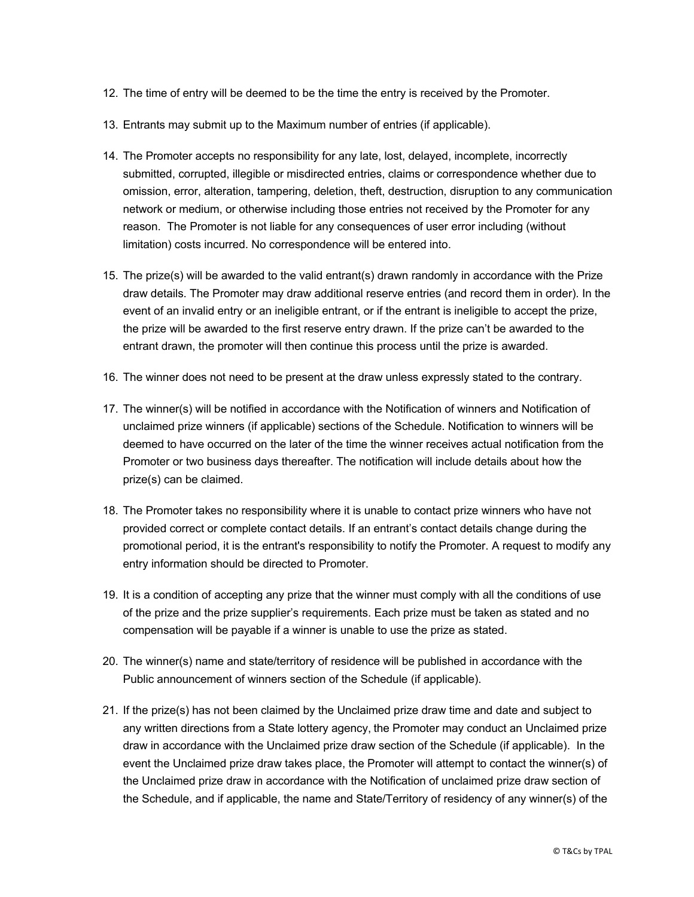- 12. The time of entry will be deemed to be the time the entry is received by the Promoter.
- 13. Entrants may submit up to the Maximum number of entries (if applicable).
- 14. The Promoter accepts no responsibility for any late, lost, delayed, incomplete, incorrectly submitted, corrupted, illegible or misdirected entries, claims or correspondence whether due to omission, error, alteration, tampering, deletion, theft, destruction, disruption to any communication network or medium, or otherwise including those entries not received by the Promoter for any reason. The Promoter is not liable for any consequences of user error including (without limitation) costs incurred. No correspondence will be entered into.
- 15. The prize(s) will be awarded to the valid entrant(s) drawn randomly in accordance with the Prize draw details. The Promoter may draw additional reserve entries (and record them in order). In the event of an invalid entry or an ineligible entrant, or if the entrant is ineligible to accept the prize, the prize will be awarded to the first reserve entry drawn. If the prize can't be awarded to the entrant drawn, the promoter will then continue this process until the prize is awarded.
- 16. The winner does not need to be present at the draw unless expressly stated to the contrary.
- 17. The winner(s) will be notified in accordance with the Notification of winners and Notification of unclaimed prize winners (if applicable) sections of the Schedule. Notification to winners will be deemed to have occurred on the later of the time the winner receives actual notification from the Promoter or two business days thereafter. The notification will include details about how the prize(s) can be claimed.
- 18. The Promoter takes no responsibility where it is unable to contact prize winners who have not provided correct or complete contact details. If an entrant's contact details change during the promotional period, it is the entrant's responsibility to notify the Promoter. A request to modify any entry information should be directed to Promoter.
- 19. It is a condition of accepting any prize that the winner must comply with all the conditions of use of the prize and the prize supplier's requirements. Each prize must be taken as stated and no compensation will be payable if a winner is unable to use the prize as stated.
- 20. The winner(s) name and state/territory of residence will be published in accordance with the Public announcement of winners section of the Schedule (if applicable).
- 21. If the prize(s) has not been claimed by the Unclaimed prize draw time and date and subject to any written directions from a State lottery agency, the Promoter may conduct an Unclaimed prize draw in accordance with the Unclaimed prize draw section of the Schedule (if applicable). In the event the Unclaimed prize draw takes place, the Promoter will attempt to contact the winner(s) of the Unclaimed prize draw in accordance with the Notification of unclaimed prize draw section of the Schedule, and if applicable, the name and State/Territory of residency of any winner(s) of the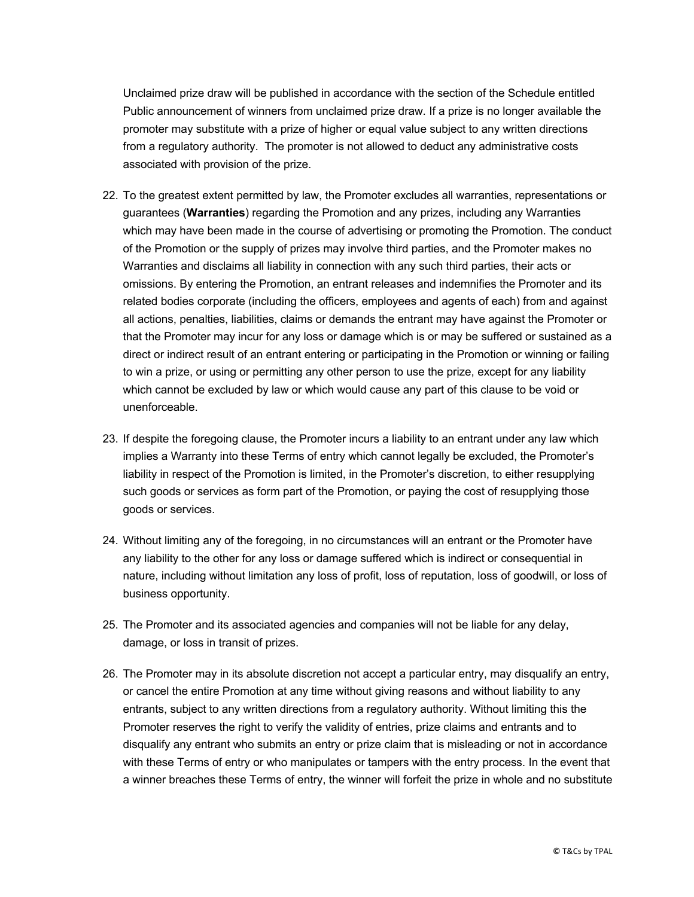Unclaimed prize draw will be published in accordance with the section of the Schedule entitled Public announcement of winners from unclaimed prize draw. If a prize is no longer available the promoter may substitute with a prize of higher or equal value subject to any written directions from a regulatory authority. The promoter is not allowed to deduct any administrative costs associated with provision of the prize.

- 22. To the greatest extent permitted by law, the Promoter excludes all warranties, representations or guarantees (**Warranties**) regarding the Promotion and any prizes, including any Warranties which may have been made in the course of advertising or promoting the Promotion. The conduct of the Promotion or the supply of prizes may involve third parties, and the Promoter makes no Warranties and disclaims all liability in connection with any such third parties, their acts or omissions. By entering the Promotion, an entrant releases and indemnifies the Promoter and its related bodies corporate (including the officers, employees and agents of each) from and against all actions, penalties, liabilities, claims or demands the entrant may have against the Promoter or that the Promoter may incur for any loss or damage which is or may be suffered or sustained as a direct or indirect result of an entrant entering or participating in the Promotion or winning or failing to win a prize, or using or permitting any other person to use the prize, except for any liability which cannot be excluded by law or which would cause any part of this clause to be void or unenforceable.
- 23. If despite the foregoing clause, the Promoter incurs a liability to an entrant under any law which implies a Warranty into these Terms of entry which cannot legally be excluded, the Promoter's liability in respect of the Promotion is limited, in the Promoter's discretion, to either resupplying such goods or services as form part of the Promotion, or paying the cost of resupplying those goods or services.
- 24. Without limiting any of the foregoing, in no circumstances will an entrant or the Promoter have any liability to the other for any loss or damage suffered which is indirect or consequential in nature, including without limitation any loss of profit, loss of reputation, loss of goodwill, or loss of business opportunity.
- 25. The Promoter and its associated agencies and companies will not be liable for any delay, damage, or loss in transit of prizes.
- 26. The Promoter may in its absolute discretion not accept a particular entry, may disqualify an entry, or cancel the entire Promotion at any time without giving reasons and without liability to any entrants, subject to any written directions from a regulatory authority. Without limiting this the Promoter reserves the right to verify the validity of entries, prize claims and entrants and to disqualify any entrant who submits an entry or prize claim that is misleading or not in accordance with these Terms of entry or who manipulates or tampers with the entry process. In the event that a winner breaches these Terms of entry, the winner will forfeit the prize in whole and no substitute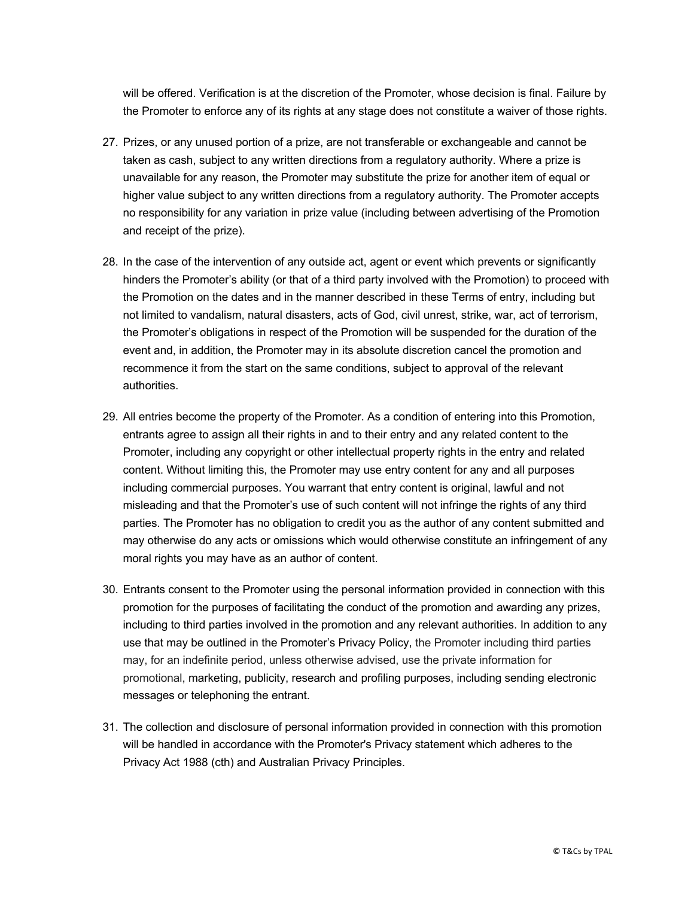will be offered. Verification is at the discretion of the Promoter, whose decision is final. Failure by the Promoter to enforce any of its rights at any stage does not constitute a waiver of those rights.

- 27. Prizes, or any unused portion of a prize, are not transferable or exchangeable and cannot be taken as cash, subject to any written directions from a regulatory authority. Where a prize is unavailable for any reason, the Promoter may substitute the prize for another item of equal or higher value subject to any written directions from a regulatory authority. The Promoter accepts no responsibility for any variation in prize value (including between advertising of the Promotion and receipt of the prize).
- 28. In the case of the intervention of any outside act, agent or event which prevents or significantly hinders the Promoter's ability (or that of a third party involved with the Promotion) to proceed with the Promotion on the dates and in the manner described in these Terms of entry, including but not limited to vandalism, natural disasters, acts of God, civil unrest, strike, war, act of terrorism, the Promoter's obligations in respect of the Promotion will be suspended for the duration of the event and, in addition, the Promoter may in its absolute discretion cancel the promotion and recommence it from the start on the same conditions, subject to approval of the relevant authorities.
- 29. All entries become the property of the Promoter. As a condition of entering into this Promotion, entrants agree to assign all their rights in and to their entry and any related content to the Promoter, including any copyright or other intellectual property rights in the entry and related content. Without limiting this, the Promoter may use entry content for any and all purposes including commercial purposes. You warrant that entry content is original, lawful and not misleading and that the Promoter's use of such content will not infringe the rights of any third parties. The Promoter has no obligation to credit you as the author of any content submitted and may otherwise do any acts or omissions which would otherwise constitute an infringement of any moral rights you may have as an author of content.
- 30. Entrants consent to the Promoter using the personal information provided in connection with this promotion for the purposes of facilitating the conduct of the promotion and awarding any prizes, including to third parties involved in the promotion and any relevant authorities. In addition to any use that may be outlined in the Promoter's Privacy Policy, the Promoter including third parties may, for an indefinite period, unless otherwise advised, use the private information for promotional, marketing, publicity, research and profiling purposes, including sending electronic messages or telephoning the entrant.
- 31. The collection and disclosure of personal information provided in connection with this promotion will be handled in accordance with the Promoter's Privacy statement which adheres to the Privacy Act 1988 (cth) and Australian Privacy Principles.